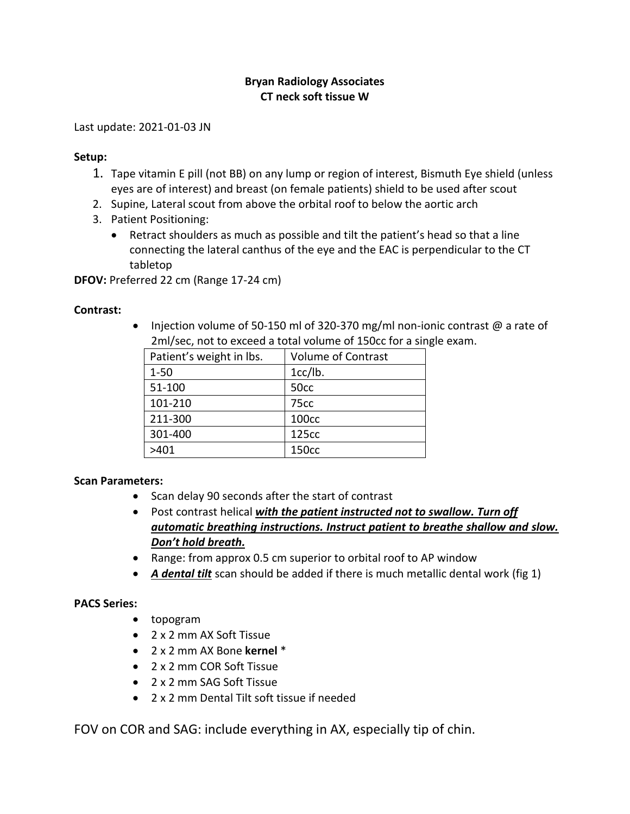## **Bryan Radiology Associates CT neck soft tissue W**

Last update: 2021-01-03 JN

#### **Setup:**

- 1. Tape vitamin E pill (not BB) on any lump or region of interest, Bismuth Eye shield (unless eyes are of interest) and breast (on female patients) shield to be used after scout
- 2. Supine, Lateral scout from above the orbital roof to below the aortic arch
- 3. Patient Positioning:
	- Retract shoulders as much as possible and tilt the patient's head so that a line connecting the lateral canthus of the eye and the EAC is perpendicular to the CT tabletop

**DFOV:** Preferred 22 cm (Range 17-24 cm)

### **Contrast:**

• Injection volume of 50-150 ml of 320-370 mg/ml non-ionic contrast  $\omega$  a rate of 2ml/sec, not to exceed a total volume of 150cc for a single exam.

| Patient's weight in lbs. | <b>Volume of Contrast</b> |
|--------------------------|---------------------------|
| $1 - 50$                 | 1cc/lb.                   |
| 51-100                   | 50 <sub>cc</sub>          |
| 101-210                  | 75 <sub>cc</sub>          |
| 211-300                  | 100cc                     |
| 301-400                  | 125cc                     |
| >401                     | 150cc                     |

#### **Scan Parameters:**

- Scan delay 90 seconds after the start of contrast
- Post contrast helical *with the patient instructed not to swallow. Turn off automatic breathing instructions. Instruct patient to breathe shallow and slow. Don't hold breath.*
- Range: from approx 0.5 cm superior to orbital roof to AP window
- *A dental tilt* scan should be added if there is much metallic dental work (fig 1)

## **PACS Series:**

- topogram
- 2 x 2 mm AX Soft Tissue
- 2 x 2 mm AX Bone **kernel** \*
- 2 x 2 mm COR Soft Tissue
- 2 x 2 mm SAG Soft Tissue
- 2 x 2 mm Dental Tilt soft tissue if needed

FOV on COR and SAG: include everything in AX, especially tip of chin.